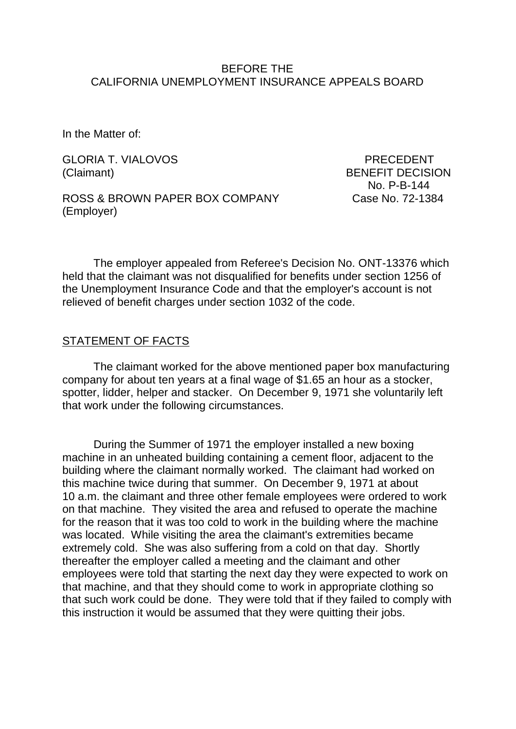#### BEFORE THE CALIFORNIA UNEMPLOYMENT INSURANCE APPEALS BOARD

In the Matter of:

GLORIA T. VIALOVOS PRECEDENT (Claimant) BENEFIT DECISION

ROSS & BROWN PAPER BOX COMPANY Case No. 72-1384 (Employer)

No. P-B-144

The employer appealed from Referee's Decision No. ONT-13376 which held that the claimant was not disqualified for benefits under section 1256 of the Unemployment Insurance Code and that the employer's account is not relieved of benefit charges under section 1032 of the code.

## STATEMENT OF FACTS

The claimant worked for the above mentioned paper box manufacturing company for about ten years at a final wage of \$1.65 an hour as a stocker, spotter, lidder, helper and stacker. On December 9, 1971 she voluntarily left that work under the following circumstances.

During the Summer of 1971 the employer installed a new boxing machine in an unheated building containing a cement floor, adjacent to the building where the claimant normally worked. The claimant had worked on this machine twice during that summer. On December 9, 1971 at about 10 a.m. the claimant and three other female employees were ordered to work on that machine. They visited the area and refused to operate the machine for the reason that it was too cold to work in the building where the machine was located. While visiting the area the claimant's extremities became extremely cold. She was also suffering from a cold on that day. Shortly thereafter the employer called a meeting and the claimant and other employees were told that starting the next day they were expected to work on that machine, and that they should come to work in appropriate clothing so that such work could be done. They were told that if they failed to comply with this instruction it would be assumed that they were quitting their jobs.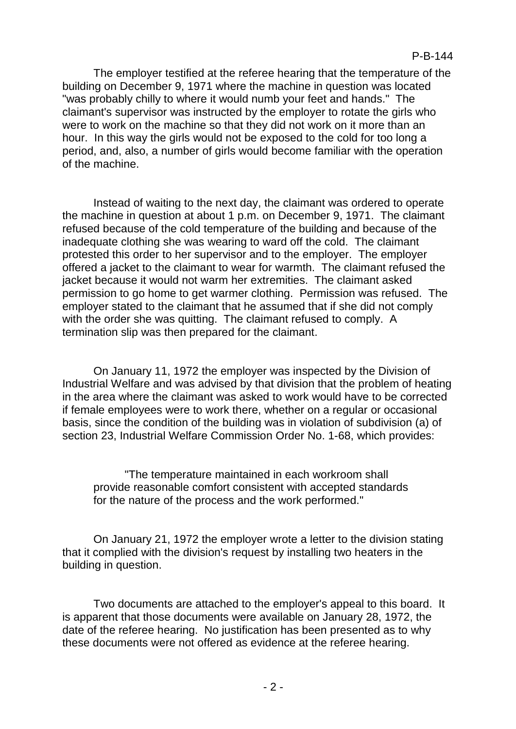The employer testified at the referee hearing that the temperature of the building on December 9, 1971 where the machine in question was located "was probably chilly to where it would numb your feet and hands." The claimant's supervisor was instructed by the employer to rotate the girls who were to work on the machine so that they did not work on it more than an hour. In this way the girls would not be exposed to the cold for too long a period, and, also, a number of girls would become familiar with the operation of the machine.

Instead of waiting to the next day, the claimant was ordered to operate the machine in question at about 1 p.m. on December 9, 1971. The claimant refused because of the cold temperature of the building and because of the inadequate clothing she was wearing to ward off the cold. The claimant protested this order to her supervisor and to the employer. The employer offered a jacket to the claimant to wear for warmth. The claimant refused the jacket because it would not warm her extremities. The claimant asked permission to go home to get warmer clothing. Permission was refused. The employer stated to the claimant that he assumed that if she did not comply with the order she was quitting. The claimant refused to comply. A termination slip was then prepared for the claimant.

On January 11, 1972 the employer was inspected by the Division of Industrial Welfare and was advised by that division that the problem of heating in the area where the claimant was asked to work would have to be corrected if female employees were to work there, whether on a regular or occasional basis, since the condition of the building was in violation of subdivision (a) of section 23, Industrial Welfare Commission Order No. 1-68, which provides:

"The temperature maintained in each workroom shall provide reasonable comfort consistent with accepted standards for the nature of the process and the work performed."

On January 21, 1972 the employer wrote a letter to the division stating that it complied with the division's request by installing two heaters in the building in question.

Two documents are attached to the employer's appeal to this board. It is apparent that those documents were available on January 28, 1972, the date of the referee hearing. No justification has been presented as to why these documents were not offered as evidence at the referee hearing.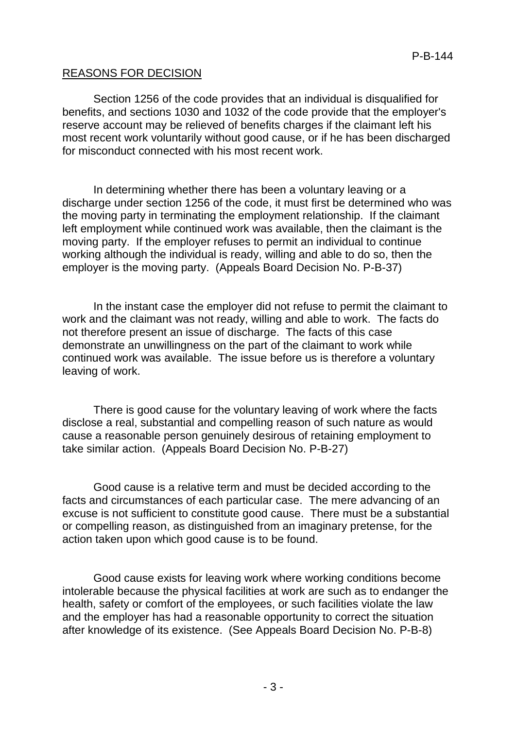## REASONS FOR DECISION

Section 1256 of the code provides that an individual is disqualified for benefits, and sections 1030 and 1032 of the code provide that the employer's reserve account may be relieved of benefits charges if the claimant left his most recent work voluntarily without good cause, or if he has been discharged for misconduct connected with his most recent work.

In determining whether there has been a voluntary leaving or a discharge under section 1256 of the code, it must first be determined who was the moving party in terminating the employment relationship. If the claimant left employment while continued work was available, then the claimant is the moving party. If the employer refuses to permit an individual to continue working although the individual is ready, willing and able to do so, then the employer is the moving party. (Appeals Board Decision No. P-B-37)

In the instant case the employer did not refuse to permit the claimant to work and the claimant was not ready, willing and able to work. The facts do not therefore present an issue of discharge. The facts of this case demonstrate an unwillingness on the part of the claimant to work while continued work was available. The issue before us is therefore a voluntary leaving of work.

There is good cause for the voluntary leaving of work where the facts disclose a real, substantial and compelling reason of such nature as would cause a reasonable person genuinely desirous of retaining employment to take similar action. (Appeals Board Decision No. P-B-27)

Good cause is a relative term and must be decided according to the facts and circumstances of each particular case. The mere advancing of an excuse is not sufficient to constitute good cause. There must be a substantial or compelling reason, as distinguished from an imaginary pretense, for the action taken upon which good cause is to be found.

Good cause exists for leaving work where working conditions become intolerable because the physical facilities at work are such as to endanger the health, safety or comfort of the employees, or such facilities violate the law and the employer has had a reasonable opportunity to correct the situation after knowledge of its existence. (See Appeals Board Decision No. P-B-8)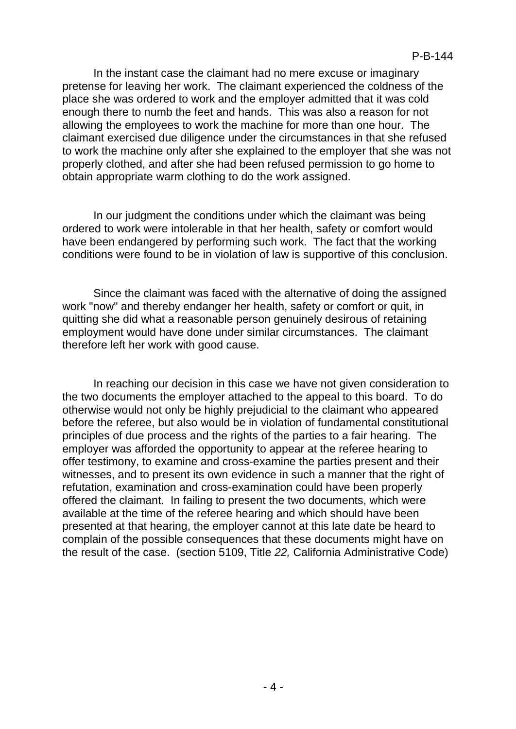In the instant case the claimant had no mere excuse or imaginary pretense for leaving her work. The claimant experienced the coldness of the place she was ordered to work and the employer admitted that it was cold enough there to numb the feet and hands. This was also a reason for not allowing the employees to work the machine for more than one hour. The claimant exercised due diligence under the circumstances in that she refused to work the machine only after she explained to the employer that she was not properly clothed, and after she had been refused permission to go home to obtain appropriate warm clothing to do the work assigned.

In our judgment the conditions under which the claimant was being ordered to work were intolerable in that her health, safety or comfort would have been endangered by performing such work. The fact that the working conditions were found to be in violation of law is supportive of this conclusion.

Since the claimant was faced with the alternative of doing the assigned work "now" and thereby endanger her health, safety or comfort or quit, in quitting she did what a reasonable person genuinely desirous of retaining employment would have done under similar circumstances. The claimant therefore left her work with good cause.

In reaching our decision in this case we have not given consideration to the two documents the employer attached to the appeal to this board. To do otherwise would not only be highly prejudicial to the claimant who appeared before the referee, but also would be in violation of fundamental constitutional principles of due process and the rights of the parties to a fair hearing. The employer was afforded the opportunity to appear at the referee hearing to offer testimony, to examine and cross-examine the parties present and their witnesses, and to present its own evidence in such a manner that the right of refutation, examination and cross-examination could have been properly offered the claimant. In failing to present the two documents, which were available at the time of the referee hearing and which should have been presented at that hearing, the employer cannot at this late date be heard to complain of the possible consequences that these documents might have on the result of the case. (section 5109, Title *22,* California Administrative Code)